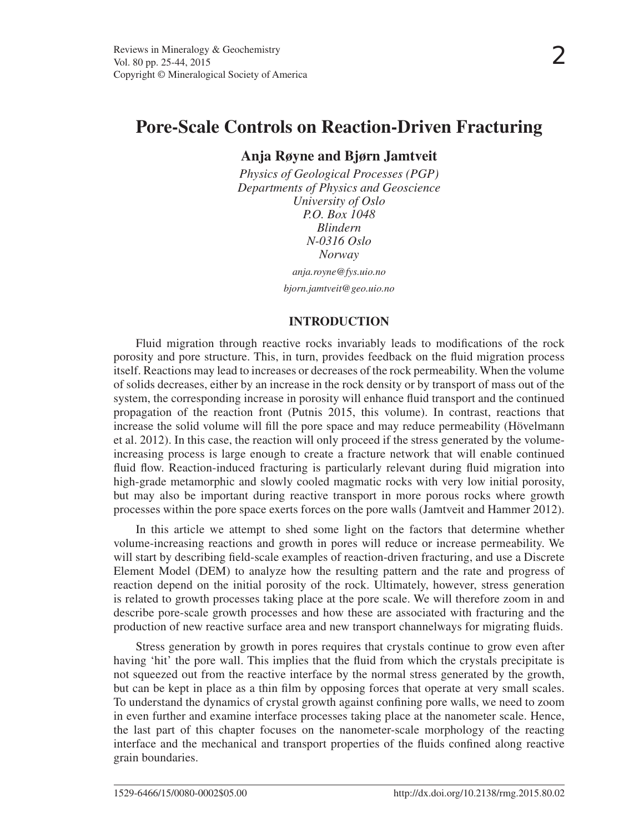# **Anja Røyne and Bjørn Jamtveit**

*Physics of Geological Processes (PGP) Departments of Physics and Geoscience University of Oslo P.O. Box 1048 Blindern N-0316 Oslo Norway anja.royne@fys.uio.no*

*bjorn.jamtveit@geo.uio.no*

## **INTRODUCTION**

Fluid migration through reactive rocks invariably leads to modifications of the rock porosity and pore structure. This, in turn, provides feedback on the fluid migration process itself. Reactions may lead to increases or decreases of the rock permeability. When the volume of solids decreases, either by an increase in the rock density or by transport of mass out of the system, the corresponding increase in porosity will enhance fluid transport and the continued propagation of the reaction front (Putnis 2015, this volume). In contrast, reactions that increase the solid volume will fill the pore space and may reduce permeability (Hövelmann et al. 2012). In this case, the reaction will only proceed if the stress generated by the volumeincreasing process is large enough to create a fracture network that will enable continued fluid flow. Reaction-induced fracturing is particularly relevant during fluid migration into high-grade metamorphic and slowly cooled magmatic rocks with very low initial porosity, but may also be important during reactive transport in more porous rocks where growth processes within the pore space exerts forces on the pore walls (Jamtveit and Hammer 2012).

In this article we attempt to shed some light on the factors that determine whether volume-increasing reactions and growth in pores will reduce or increase permeability. We will start by describing field-scale examples of reaction-driven fracturing, and use a Discrete Element Model (DEM) to analyze how the resulting pattern and the rate and progress of reaction depend on the initial porosity of the rock. Ultimately, however, stress generation is related to growth processes taking place at the pore scale. We will therefore zoom in and describe pore-scale growth processes and how these are associated with fracturing and the production of new reactive surface area and new transport channelways for migrating fluids.

Stress generation by growth in pores requires that crystals continue to grow even after having 'hit' the pore wall. This implies that the fluid from which the crystals precipitate is not squeezed out from the reactive interface by the normal stress generated by the growth, but can be kept in place as a thin film by opposing forces that operate at very small scales. To understand the dynamics of crystal growth against confining pore walls, we need to zoom in even further and examine interface processes taking place at the nanometer scale. Hence, the last part of this chapter focuses on the nanometer-scale morphology of the reacting interface and the mechanical and transport properties of the fluids confined along reactive grain boundaries.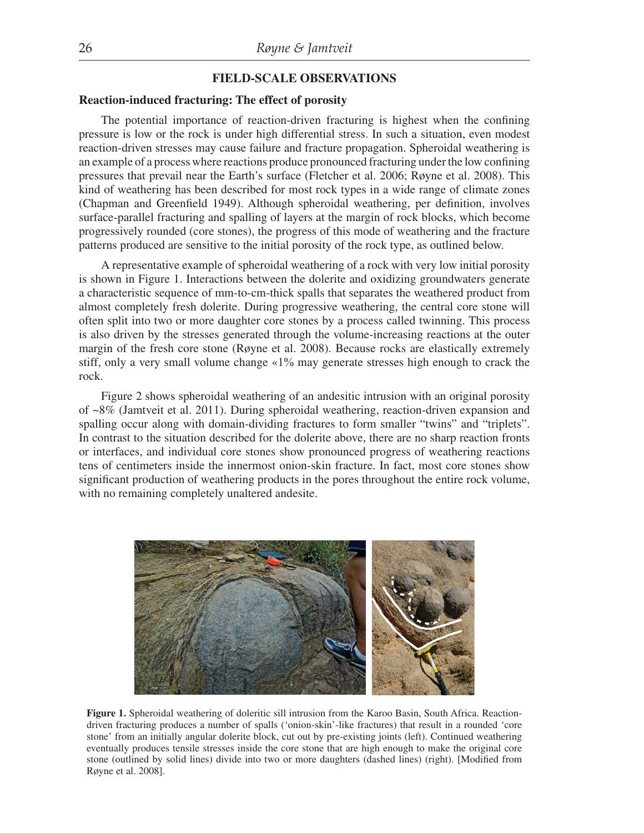## **FIELD-SCALE OBSERVATIONS**

## **Reaction-induced fracturing: The effect of porosity**

The potential importance of reaction-driven fracturing is highest when the confining pressure is low or the rock is under high differential stress. In such a situation, even modest reaction-driven stresses may cause failure and fracture propagation. Spheroidal weathering is an example of a process where reactions produce pronounced fracturing under the low confining pressures that prevail near the Earth's surface (Fletcher et al. 2006; Røyne et al. 2008). This kind of weathering has been described for most rock types in a wide range of climate zones (Chapman and Greenfield 1949). Although spheroidal weathering, per definition, involves surface-parallel fracturing and spalling of layers at the margin of rock blocks, which become progressively rounded (core stones), the progress of this mode of weathering and the fracture patterns produced are sensitive to the initial porosity of the rock type, as outlined below.

A representative example of spheroidal weathering of a rock with very low initial porosity is shown in Figure 1. Interactions between the dolerite and oxidizing groundwaters generate a characteristic sequence of mm-to-cm-thick spalls that separates the weathered product from almost completely fresh dolerite. During progressive weathering, the central core stone will often split into two or more daughter core stones by a process called twinning. This process is also driven by the stresses generated through the volume-increasing reactions at the outer margin of the fresh core stone (Røyne et al. 2008). Because rocks are elastically extremely stiff, only a very small volume change «1% may generate stresses high enough to crack the rock.

Figure 2 shows spheroidal weathering of an andesitic intrusion with an original porosity of ~8% (Jamtveit et al. 2011). During spheroidal weathering, reaction-driven expansion and spalling occur along with domain-dividing fractures to form smaller "twins" and "triplets". In contrast to the situation described for the dolerite above, there are no sharp reaction fronts or interfaces, and individual core stones show pronounced progress of weathering reactions tens of centimeters inside the innermost onion-skin fracture. In fact, most core stones show significant production of weathering products in the pores throughout the entire rock volume, with no remaining completely unaltered andesite.



**Figure 1.** Spheroidal weathering of doleritic sill intrusion from the Karoo Basin, South Africa. Reactiondriven fracturing produces a number of spalls ('onion-skin'-like fractures) that result in a rounded 'core stone' from an initially angular dolerite block, cut out by pre-existing joints (left). Continued weathering eventually produces tensile stresses inside the core stone that are high enough to make the original core stone (outlined by solid lines) divide into two or more daughters (dashed lines) (right). [Modified from Røyne et al. 2008].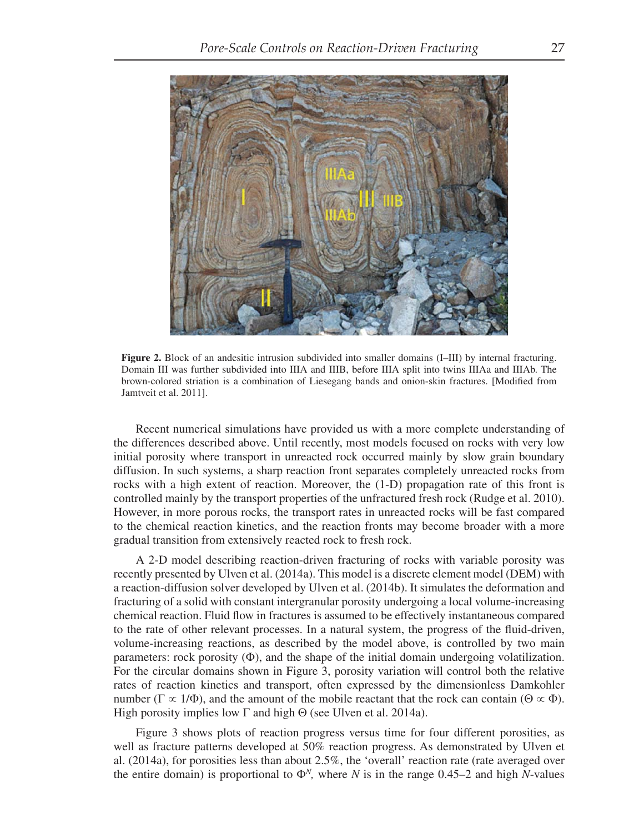

**Figure 2.** Block of an andesitic intrusion subdivided into smaller domains (I–III) by internal fracturing. Domain III was further subdivided into IIIA and IIIB, before IIIA split into twins IIIAa and IIIAb. The brown-colored striation is a combination of Liesegang bands and onion-skin fractures. [Modified from Jamtveit et al. 2011].

Recent numerical simulations have provided us with a more complete understanding of the differences described above. Until recently, most models focused on rocks with very low initial porosity where transport in unreacted rock occurred mainly by slow grain boundary diffusion. In such systems, a sharp reaction front separates completely unreacted rocks from rocks with a high extent of reaction. Moreover, the (1-D) propagation rate of this front is controlled mainly by the transport properties of the unfractured fresh rock (Rudge et al. 2010). However, in more porous rocks, the transport rates in unreacted rocks will be fast compared to the chemical reaction kinetics, and the reaction fronts may become broader with a more gradual transition from extensively reacted rock to fresh rock.

A 2-D model describing reaction-driven fracturing of rocks with variable porosity was recently presented by Ulven et al. (2014a). This model is a discrete element model (DEM) with a reaction-diffusion solver developed by Ulven et al. (2014b). It simulates the deformation and fracturing of a solid with constant intergranular porosity undergoing a local volume-increasing chemical reaction. Fluid flow in fractures is assumed to be effectively instantaneous compared to the rate of other relevant processes. In a natural system, the progress of the fluid-driven, volume-increasing reactions, as described by the model above, is controlled by two main parameters: rock porosity  $(\Phi)$ , and the shape of the initial domain undergoing volatilization. For the circular domains shown in Figure 3, porosity variation will control both the relative rates of reaction kinetics and transport, often expressed by the dimensionless Damkohler number ( $\Gamma \propto 1/\Phi$ ), and the amount of the mobile reactant that the rock can contain ( $\Theta \propto \Phi$ ). High porosity implies low  $\Gamma$  and high  $\Theta$  (see Ulven et al. 2014a).

Figure 3 shows plots of reaction progress versus time for four different porosities, as well as fracture patterns developed at 50% reaction progress. As demonstrated by Ulven et al. (2014a), for porosities less than about 2.5%, the 'overall' reaction rate (rate averaged over the entire domain) is proportional to  $\Phi^N$ , where *N* is in the range 0.45–2 and high *N*-values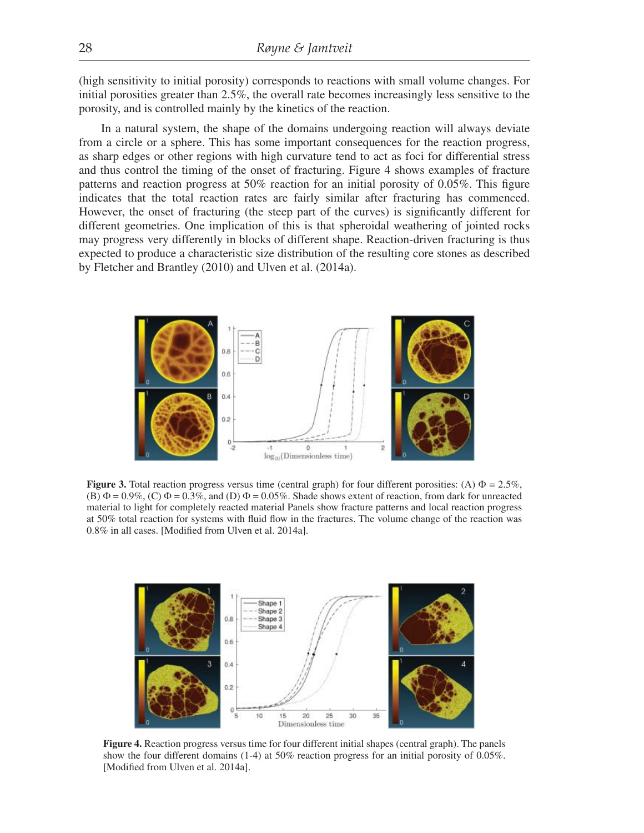(high sensitivity to initial porosity) corresponds to reactions with small volume changes. For initial porosities greater than 2.5%, the overall rate becomes increasingly less sensitive to the porosity, and is controlled mainly by the kinetics of the reaction.

In a natural system, the shape of the domains undergoing reaction will always deviate from a circle or a sphere. This has some important consequences for the reaction progress, as sharp edges or other regions with high curvature tend to act as foci for differential stress and thus control the timing of the onset of fracturing. Figure 4 shows examples of fracture patterns and reaction progress at  $50\%$  reaction for an initial porosity of 0.05%. This figure indicates that the total reaction rates are fairly similar after fracturing has commenced. However, the onset of fracturing (the steep part of the curves) is significantly different for different geometries. One implication of this is that spheroidal weathering of jointed rocks may progress very differently in blocks of different shape. Reaction-driven fracturing is thus expected to produce a characteristic size distribution of the resulting core stones as described by Fletcher and Brantley (2010) and Ulven et al. (2014a).



**Figure 3.** Total reaction progress versus time (central graph) for four different porosities: (A)  $\Phi = 2.5\%$ , (B)  $\Phi = 0.9\%$ , (C)  $\Phi = 0.3\%$ , and (D)  $\Phi = 0.05\%$ . Shade shows extent of reaction, from dark for unreacted material to light for completely reacted material Panels show fracture patterns and local reaction progress at 50% total reaction for systems with fluid flow in the fractures. The volume change of the reaction was 0.8% in all cases. [Modified from Ulven et al. 2014a].



**Figure 4.** Reaction progress versus time for four different initial shapes (central graph). The panels show the four different domains (1-4) at 50% reaction progress for an initial porosity of 0.05%. [Modified from Ulven et al. 2014a].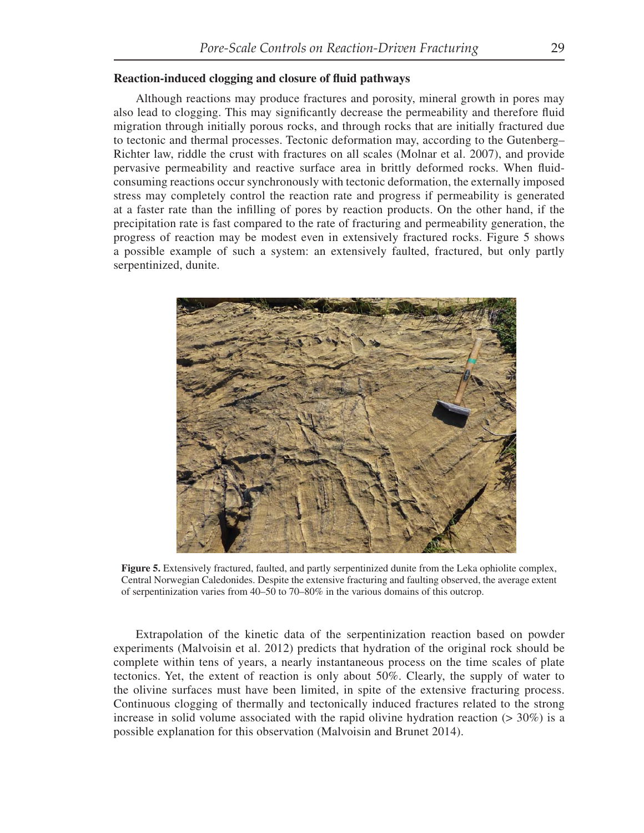### **Reaction-induced clogging and closure of fluid pathways**

Although reactions may produce fractures and porosity, mineral growth in pores may also lead to clogging. This may significantly decrease the permeability and therefore fluid migration through initially porous rocks, and through rocks that are initially fractured due to tectonic and thermal processes. Tectonic deformation may, according to the Gutenberg– Richter law, riddle the crust with fractures on all scales (Molnar et al. 2007), and provide pervasive permeability and reactive surface area in brittly deformed rocks. When fluidconsuming reactions occur synchronously with tectonic deformation, the externally imposed stress may completely control the reaction rate and progress if permeability is generated at a faster rate than the infilling of pores by reaction products. On the other hand, if the precipitation rate is fast compared to the rate of fracturing and permeability generation, the progress of reaction may be modest even in extensively fractured rocks. Figure 5 shows a possible example of such a system: an extensively faulted, fractured, but only partly serpentinized, dunite.



**Figure 5.** Extensively fractured, faulted, and partly serpentinized dunite from the Leka ophiolite complex, Central Norwegian Caledonides. Despite the extensive fracturing and faulting observed, the average extent of serpentinization varies from 40–50 to 70–80% in the various domains of this outcrop.

Extrapolation of the kinetic data of the serpentinization reaction based on powder experiments (Malvoisin et al. 2012) predicts that hydration of the original rock should be complete within tens of years, a nearly instantaneous process on the time scales of plate tectonics. Yet, the extent of reaction is only about 50%. Clearly, the supply of water to the olivine surfaces must have been limited, in spite of the extensive fracturing process. Continuous clogging of thermally and tectonically induced fractures related to the strong increase in solid volume associated with the rapid olivine hydration reaction  $(> 30\%)$  is a possible explanation for this observation (Malvoisin and Brunet 2014).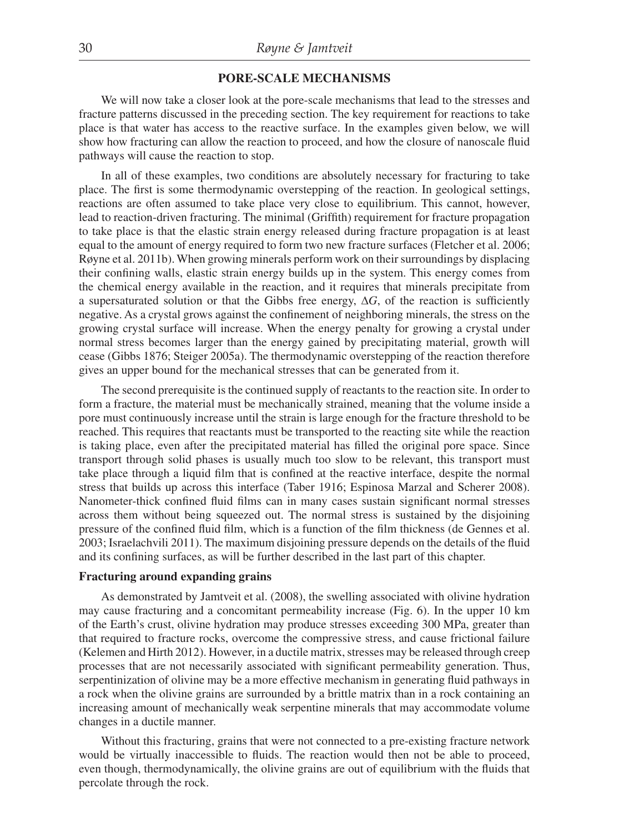## **PORE-SCALE MECHANISMS**

We will now take a closer look at the pore-scale mechanisms that lead to the stresses and fracture patterns discussed in the preceding section. The key requirement for reactions to take place is that water has access to the reactive surface. In the examples given below, we will show how fracturing can allow the reaction to proceed, and how the closure of nanoscale fluid pathways will cause the reaction to stop.

In all of these examples, two conditions are absolutely necessary for fracturing to take place. The first is some thermodynamic overstepping of the reaction. In geological settings, reactions are often assumed to take place very close to equilibrium. This cannot, however, lead to reaction-driven fracturing. The minimal (Griffith) requirement for fracture propagation to take place is that the elastic strain energy released during fracture propagation is at least equal to the amount of energy required to form two new fracture surfaces (Fletcher et al. 2006; Røyne et al. 2011b). When growing minerals perform work on their surroundings by displacing their confining walls, elastic strain energy builds up in the system. This energy comes from the chemical energy available in the reaction, and it requires that minerals precipitate from a supersaturated solution or that the Gibbs free energy,  $\Delta G$ , of the reaction is sufficiently negative. As a crystal grows against the confinement of neighboring minerals, the stress on the growing crystal surface will increase. When the energy penalty for growing a crystal under normal stress becomes larger than the energy gained by precipitating material, growth will cease (Gibbs 1876; Steiger 2005a). The thermodynamic overstepping of the reaction therefore gives an upper bound for the mechanical stresses that can be generated from it.

The second prerequisite is the continued supply of reactants to the reaction site. In order to form a fracture, the material must be mechanically strained, meaning that the volume inside a pore must continuously increase until the strain is large enough for the fracture threshold to be reached. This requires that reactants must be transported to the reacting site while the reaction is taking place, even after the precipitated material has filled the original pore space. Since transport through solid phases is usually much too slow to be relevant, this transport must take place through a liquid film that is confined at the reactive interface, despite the normal stress that builds up across this interface (Taber 1916; Espinosa Marzal and Scherer 2008). Nanometer-thick confined fluid films can in many cases sustain significant normal stresses across them without being squeezed out. The normal stress is sustained by the disjoining pressure of the confined fluid film, which is a function of the film thickness (de Gennes et al. 2003; Israelachvili 2011). The maximum disjoining pressure depends on the details of the fluid and its confining surfaces, as will be further described in the last part of this chapter.

#### **Fracturing around expanding grains**

As demonstrated by Jamtveit et al. (2008), the swelling associated with olivine hydration may cause fracturing and a concomitant permeability increase (Fig. 6). In the upper 10 km of the Earth's crust, olivine hydration may produce stresses exceeding 300 MPa, greater than that required to fracture rocks, overcome the compressive stress, and cause frictional failure (Kelemen and Hirth 2012). However, in a ductile matrix, stresses may be released through creep processes that are not necessarily associated with significant permeability generation. Thus, serpentinization of olivine may be a more effective mechanism in generating fluid pathways in a rock when the olivine grains are surrounded by a brittle matrix than in a rock containing an increasing amount of mechanically weak serpentine minerals that may accommodate volume changes in a ductile manner.

Without this fracturing, grains that were not connected to a pre-existing fracture network would be virtually inaccessible to fluids. The reaction would then not be able to proceed, even though, thermodynamically, the olivine grains are out of equilibrium with the fluids that percolate through the rock.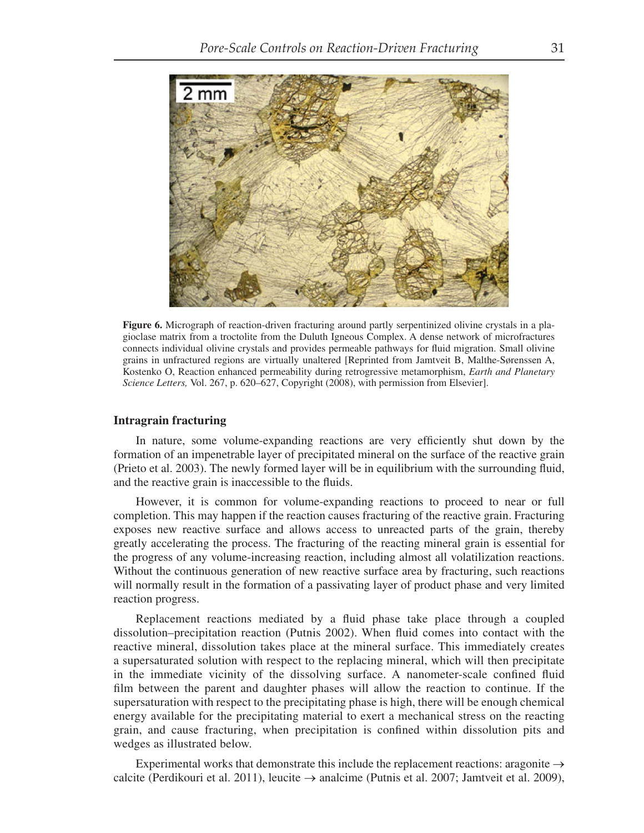

**Figure 6.** Micrograph of reaction-driven fracturing around partly serpentinized olivine crystals in a plagioclase matrix from a troctolite from the Duluth Igneous Complex. A dense network of microfractures connects individual olivine crystals and provides permeable pathways for fluid migration. Small olivine grains in unfractured regions are virtually unaltered [Reprinted from Jamtveit B, Malthe-Sørenssen A, Kostenko O, Reaction enhanced permeability during retrogressive metamorphism, *Earth and Planetary Science Letters,* Vol. 267, p. 620–627, Copyright (2008), with permission from Elsevier].

#### **Intragrain fracturing**

In nature, some volume-expanding reactions are very efficiently shut down by the formation of an impenetrable layer of precipitated mineral on the surface of the reactive grain (Prieto et al. 2003). The newly formed layer will be in equilibrium with the surrounding fluid, and the reactive grain is inaccessible to the fluids.

However, it is common for volume-expanding reactions to proceed to near or full completion. This may happen if the reaction causes fracturing of the reactive grain. Fracturing exposes new reactive surface and allows access to unreacted parts of the grain, thereby greatly accelerating the process. The fracturing of the reacting mineral grain is essential for the progress of any volume-increasing reaction, including almost all volatilization reactions. Without the continuous generation of new reactive surface area by fracturing, such reactions will normally result in the formation of a passivating layer of product phase and very limited reaction progress.

Replacement reactions mediated by a fluid phase take place through a coupled dissolution–precipitation reaction (Putnis 2002). When fluid comes into contact with the reactive mineral, dissolution takes place at the mineral surface. This immediately creates a supersaturated solution with respect to the replacing mineral, which will then precipitate in the immediate vicinity of the dissolving surface. A nanometer-scale confined fluid film between the parent and daughter phases will allow the reaction to continue. If the supersaturation with respect to the precipitating phase is high, there will be enough chemical energy available for the precipitating material to exert a mechanical stress on the reacting grain, and cause fracturing, when precipitation is confined within dissolution pits and wedges as illustrated below.

Experimental works that demonstrate this include the replacement reactions: aragonite  $\rightarrow$ calcite (Perdikouri et al. 2011), leucite  $\rightarrow$  analcime (Putnis et al. 2007; Jamtveit et al. 2009),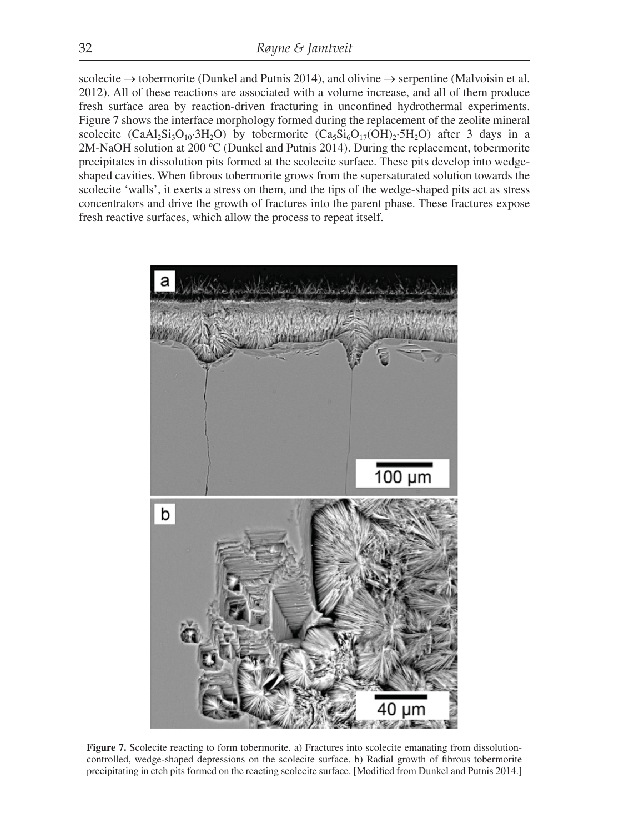scolecite  $\rightarrow$  tobermorite (Dunkel and Putnis 2014), and olivine  $\rightarrow$  serpentine (Malvoisin et al. 2012). All of these reactions are associated with a volume increase, and all of them produce fresh surface area by reaction-driven fracturing in unconfined hydrothermal experiments. Figure 7 shows the interface morphology formed during the replacement of the zeolite mineral scolecite (CaAl<sub>2</sub>Si<sub>3</sub>O<sub>10</sub>·3H<sub>2</sub>O) by tobermorite (Ca<sub>5</sub>Si<sub>6</sub>O<sub>17</sub>(OH)<sub>2</sub>·5H<sub>2</sub>O) after 3 days in a 2M-NaOH solution at 200 ºC (Dunkel and Putnis 2014). During the replacement, tobermorite precipitates in dissolution pits formed at the scolecite surface. These pits develop into wedgeshaped cavities. When fibrous tobermorite grows from the supersaturated solution towards the scolecite 'walls', it exerts a stress on them, and the tips of the wedge-shaped pits act as stress concentrators and drive the growth of fractures into the parent phase. These fractures expose fresh reactive surfaces, which allow the process to repeat itself.



Figure 7. Scolecite reacting to form tobermorite. a) Fractures into scolecite emanating from dissolutioncontrolled, wedge-shaped depressions on the scolecite surface. b) Radial growth of fibrous tobermorite precipitating in etch pits formed on the reacting scolecite surface. [Modified from Dunkel and Putnis 2014.]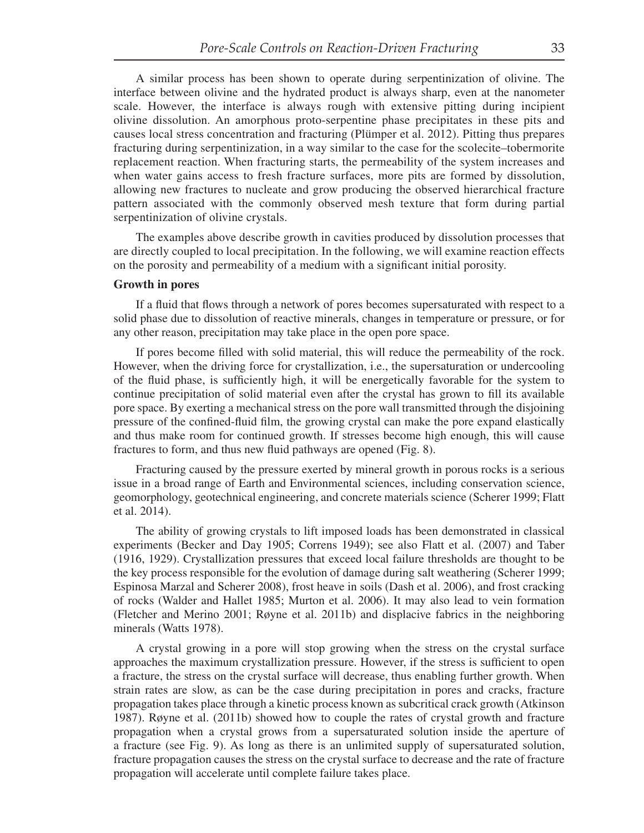A similar process has been shown to operate during serpentinization of olivine. The interface between olivine and the hydrated product is always sharp, even at the nanometer scale. However, the interface is always rough with extensive pitting during incipient olivine dissolution. An amorphous proto-serpentine phase precipitates in these pits and causes local stress concentration and fracturing (Plümper et al. 2012). Pitting thus prepares fracturing during serpentinization, in a way similar to the case for the scolecite–tobermorite replacement reaction. When fracturing starts, the permeability of the system increases and when water gains access to fresh fracture surfaces, more pits are formed by dissolution, allowing new fractures to nucleate and grow producing the observed hierarchical fracture pattern associated with the commonly observed mesh texture that form during partial serpentinization of olivine crystals.

The examples above describe growth in cavities produced by dissolution processes that are directly coupled to local precipitation. In the following, we will examine reaction effects on the porosity and permeability of a medium with a significant initial porosity.

#### **Growth in pores**

If a fluid that flows through a network of pores becomes supersaturated with respect to a solid phase due to dissolution of reactive minerals, changes in temperature or pressure, or for any other reason, precipitation may take place in the open pore space.

If pores become filled with solid material, this will reduce the permeability of the rock. However, when the driving force for crystallization, i.e., the supersaturation or undercooling of the fluid phase, is sufficiently high, it will be energetically favorable for the system to continue precipitation of solid material even after the crystal has grown to fill its available pore space. By exerting a mechanical stress on the pore wall transmitted through the disjoining pressure of the confined-fluid film, the growing crystal can make the pore expand elastically and thus make room for continued growth. If stresses become high enough, this will cause fractures to form, and thus new fluid pathways are opened (Fig. 8).

Fracturing caused by the pressure exerted by mineral growth in porous rocks is a serious issue in a broad range of Earth and Environmental sciences, including conservation science, geomorphology, geotechnical engineering, and concrete materials science (Scherer 1999; Flatt et al. 2014).

The ability of growing crystals to lift imposed loads has been demonstrated in classical experiments (Becker and Day 1905; Correns 1949); see also Flatt et al. (2007) and Taber (1916, 1929). Crystallization pressures that exceed local failure thresholds are thought to be the key process responsible for the evolution of damage during salt weathering (Scherer 1999; Espinosa Marzal and Scherer 2008), frost heave in soils (Dash et al. 2006), and frost cracking of rocks (Walder and Hallet 1985; Murton et al. 2006). It may also lead to vein formation (Fletcher and Merino 2001; Røyne et al. 2011b) and displacive fabrics in the neighboring minerals (Watts 1978).

A crystal growing in a pore will stop growing when the stress on the crystal surface approaches the maximum crystallization pressure. However, if the stress is sufficient to open a fracture, the stress on the crystal surface will decrease, thus enabling further growth. When strain rates are slow, as can be the case during precipitation in pores and cracks, fracture propagation takes place through a kinetic process known as subcritical crack growth (Atkinson 1987). Røyne et al. (2011b) showed how to couple the rates of crystal growth and fracture propagation when a crystal grows from a supersaturated solution inside the aperture of a fracture (see Fig. 9). As long as there is an unlimited supply of supersaturated solution, fracture propagation causes the stress on the crystal surface to decrease and the rate of fracture propagation will accelerate until complete failure takes place.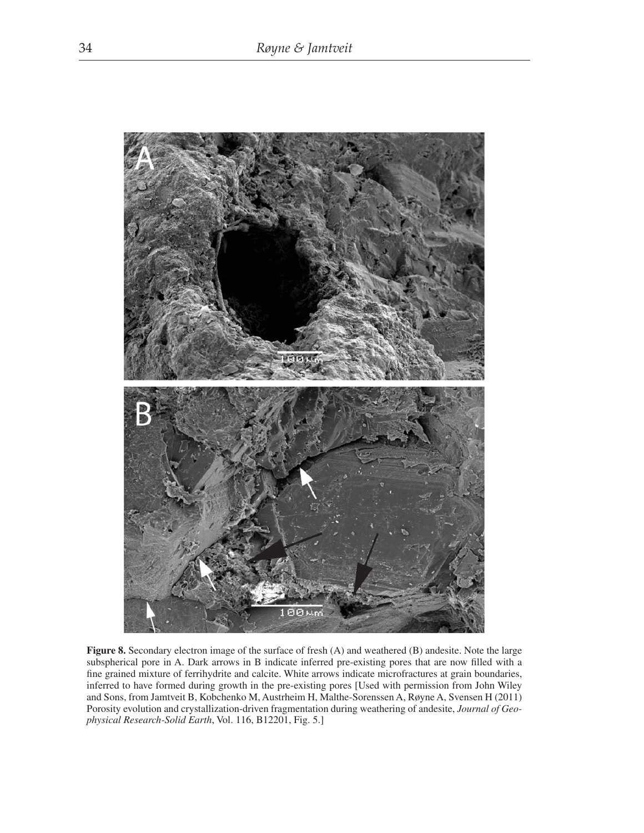

**Figure 8.** Secondary electron image of the surface of fresh (A) and weathered (B) andesite. Note the large subspherical pore in A. Dark arrows in B indicate inferred pre-existing pores that are now filled with a fine grained mixture of ferrihydrite and calcite. White arrows indicate microfractures at grain boundaries, inferred to have formed during growth in the pre-existing pores [Used with permission from John Wiley and Sons, from Jamtveit B, Kobchenko M, Austrheim H, Malthe-Sorenssen A, Røyne A, Svensen H (2011) Porosity evolution and crystallization-driven fragmentation during weathering of andesite, *Journal of Geophysical Research-Solid Earth*, Vol. 116, B12201, Fig. 5.]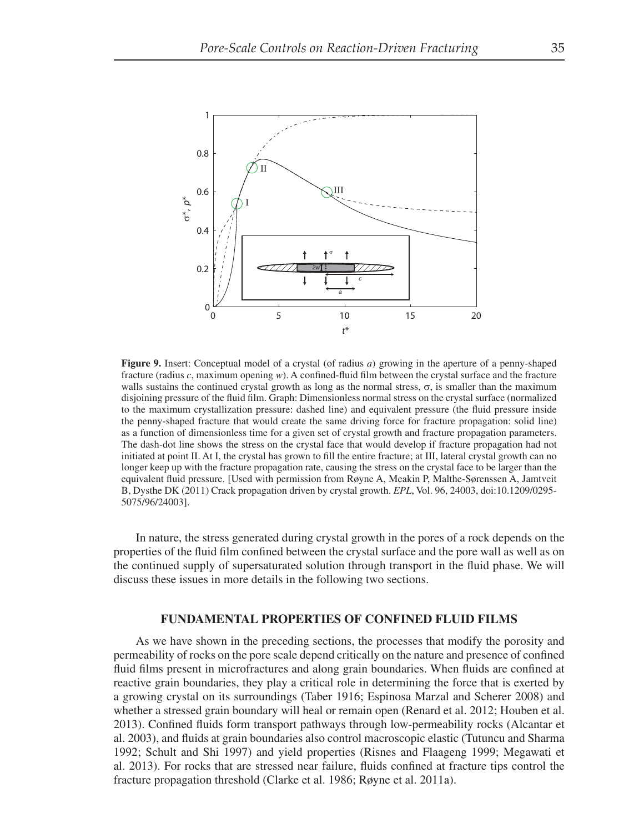

**Figure 9.** Insert: Conceptual model of a crystal (of radius *a*) growing in the aperture of a penny-shaped fracture (radius  $c$ , maximum opening  $w$ ). A confined-fluid film between the crystal surface and the fracture walls sustains the continued crystal growth as long as the normal stress,  $\sigma$ , is smaller than the maximum disjoining pressure of the fluid film. Graph: Dimensionless normal stress on the crystal surface (normalized to the maximum crystallization pressure: dashed line) and equivalent pressure (the fluid pressure inside the penny-shaped fracture that would create the same driving force for fracture propagation: solid line) as a function of dimensionless time for a given set of crystal growth and fracture propagation parameters. The dash-dot line shows the stress on the crystal face that would develop if fracture propagation had not initiated at point II. At I, the crystal has grown to fill the entire fracture; at III, lateral crystal growth can no longer keep up with the fracture propagation rate, causing the stress on the crystal face to be larger than the equivalent fluid pressure. [Used with permission from Røyne A, Meakin P, Malthe-Sørenssen A, Jamtveit B, Dysthe DK (2011) Crack propagation driven by crystal growth. *EPL*, Vol. 96, 24003, doi:10.1209/0295- 5075/96/24003].

In nature, the stress generated during crystal growth in the pores of a rock depends on the properties of the fluid film confined between the crystal surface and the pore wall as well as on the continued supply of supersaturated solution through transport in the fluid phase. We will discuss these issues in more details in the following two sections.

#### **FUNDAMENTAL PROPERTIES OF CONFINED FLUID FILMS**

As we have shown in the preceding sections, the processes that modify the porosity and permeability of rocks on the pore scale depend critically on the nature and presence of confined fluid films present in microfractures and along grain boundaries. When fluids are confined at reactive grain boundaries, they play a critical role in determining the force that is exerted by a growing crystal on its surroundings (Taber 1916; Espinosa Marzal and Scherer 2008) and whether a stressed grain boundary will heal or remain open (Renard et al. 2012; Houben et al. 2013). Confined fluids form transport pathways through low-permeability rocks (Alcantar et al. 2003), and fluids at grain boundaries also control macroscopic elastic (Tutuncu and Sharma 1992; Schult and Shi 1997) and yield properties (Risnes and Flaageng 1999; Megawati et al. 2013). For rocks that are stressed near failure, fluids confined at fracture tips control the fracture propagation threshold (Clarke et al. 1986; Røyne et al. 2011a).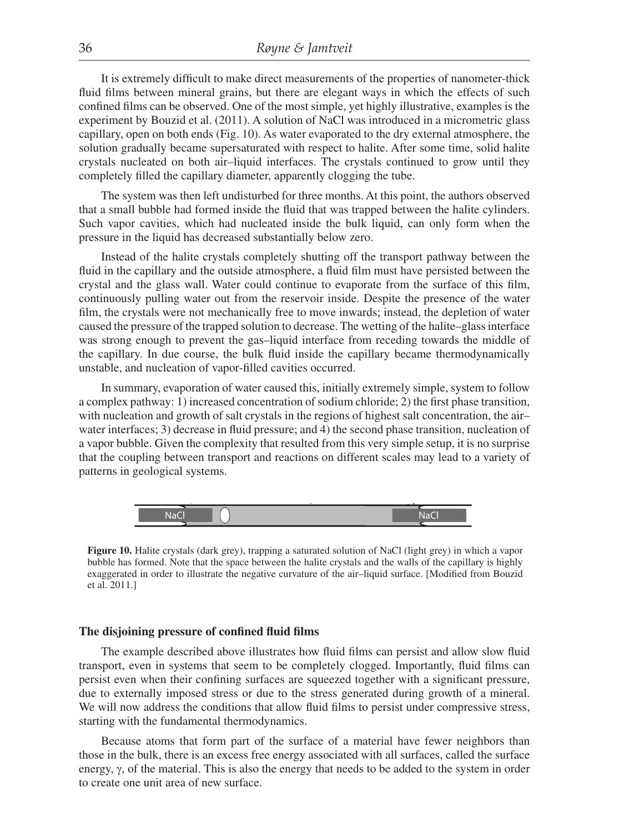It is extremely difficult to make direct measurements of the properties of nanometer-thick fluid films between mineral grains, but there are elegant ways in which the effects of such confined films can be observed. One of the most simple, yet highly illustrative, examples is the experiment by Bouzid et al. (2011). A solution of NaCl was introduced in a micrometric glass capillary, open on both ends (Fig. 10). As water evaporated to the dry external atmosphere, the solution gradually became supersaturated with respect to halite. After some time, solid halite crystals nucleated on both air–liquid interfaces. The crystals continued to grow until they completely filled the capillary diameter, apparently clogging the tube.

The system was then left undisturbed for three months. At this point, the authors observed that a small bubble had formed inside the fluid that was trapped between the halite cylinders. Such vapor cavities, which had nucleated inside the bulk liquid, can only form when the pressure in the liquid has decreased substantially below zero.

Instead of the halite crystals completely shutting off the transport pathway between the fluid in the capillary and the outside atmosphere, a fluid film must have persisted between the crystal and the glass wall. Water could continue to evaporate from the surface of this film, continuously pulling water out from the reservoir inside. Despite the presence of the water film, the crystals were not mechanically free to move inwards; instead, the depletion of water caused the pressure of the trapped solution to decrease. The wetting of the halite–glass interface was strong enough to prevent the gas–liquid interface from receding towards the middle of the capillary. In due course, the bulk fluid inside the capillary became thermodynamically unstable, and nucleation of vapor-filled cavities occurred.

In summary, evaporation of water caused this, initially extremely simple, system to follow a complex pathway: 1) increased concentration of sodium chloride; 2) the first phase transition, with nucleation and growth of salt crystals in the regions of highest salt concentration, the air– water interfaces; 3) decrease in fluid pressure; and 4) the second phase transition, nucleation of a vapor bubble. Given the complexity that resulted from this very simple setup, it is no surprise that the coupling between transport and reactions on different scales may lead to a variety of patterns in geological systems.



**Figure 10.** Halite crystals (dark grey), trapping a saturated solution of NaCl (light grey) in which a vapor bubble has formed. Note that the space between the halite crystals and the walls of the capillary is highly exaggerated in order to illustrate the negative curvature of the air–liquid surface. [Modified from Bouzid et al. 2011.]

#### The disjoining pressure of confined fluid films

The example described above illustrates how fluid films can persist and allow slow fluid transport, even in systems that seem to be completely clogged. Importantly, fluid films can persist even when their confining surfaces are squeezed together with a significant pressure, due to externally imposed stress or due to the stress generated during growth of a mineral. We will now address the conditions that allow fluid films to persist under compressive stress, starting with the fundamental thermodynamics.

Because atoms that form part of the surface of a material have fewer neighbors than those in the bulk, there is an excess free energy associated with all surfaces, called the surface energy,  $\gamma$ , of the material. This is also the energy that needs to be added to the system in order to create one unit area of new surface.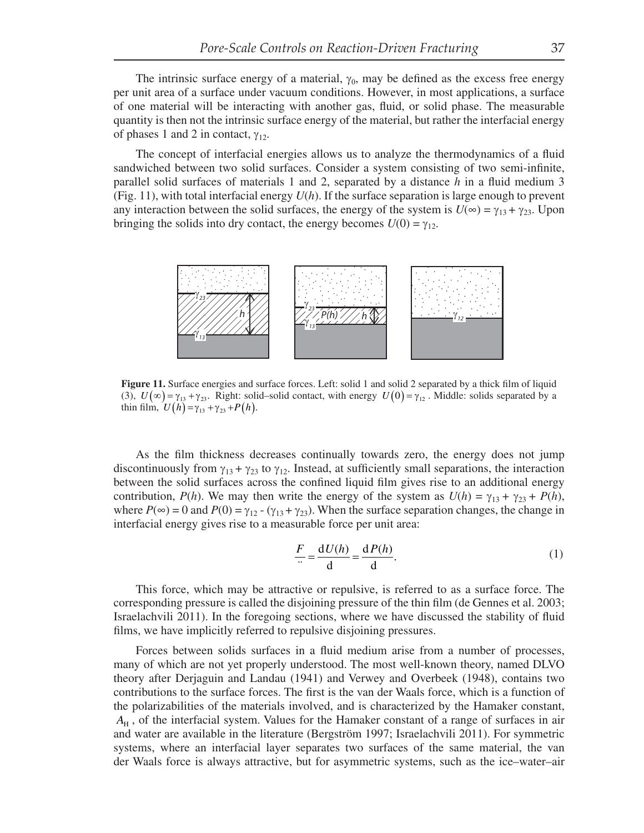The intrinsic surface energy of a material,  $\gamma_0$ , may be defined as the excess free energy per unit area of a surface under vacuum conditions. However, in most applications, a surface of one material will be interacting with another gas, fluid, or solid phase. The measurable quantity is then not the intrinsic surface energy of the material, but rather the interfacial energy of phases 1 and 2 in contact,  $\gamma_{12}$ .

The concept of interfacial energies allows us to analyze the thermodynamics of a fluid sandwiched between two solid surfaces. Consider a system consisting of two semi-infinite, parallel solid surfaces of materials 1 and 2, separated by a distance  $h$  in a fluid medium 3 (Fig. 11), with total interfacial energy *U*(*h*). If the surface separation is large enough to prevent any interaction between the solid surfaces, the energy of the system is  $U(\infty) = \gamma_{13} + \gamma_{23}$ . Upon bringing the solids into dry contact, the energy becomes  $U(0) = \gamma_{12}$ .



**Figure 11.** Surface energies and surface forces. Left: solid 1 and solid 2 separated by a thick film of liquid (3),  $U(\infty) = \gamma_{13} + \gamma_{23}$ . Right: solid–solid contact, with energy  $U(0) = \gamma_{12}$ . Middle: solids separated by a thin film,  $U(h) = \gamma_{13} + \gamma_{23} + P(h)$ .

As the film thickness decreases continually towards zero, the energy does not jump discontinuously from  $\gamma_{13} + \gamma_{23}$  to  $\gamma_{12}$ . Instead, at sufficiently small separations, the interaction between the solid surfaces across the confined liquid film gives rise to an additional energy contribution, *P*(*h*). We may then write the energy of the system as  $U(h) = \gamma_{13} + \gamma_{23} + P(h)$ , where  $P(\infty) = 0$  and  $P(0) = \gamma_{12} - (\gamma_{13} + \gamma_{23})$ . When the surface separation changes, the change in interfacial energy gives rise to a measurable force per unit area:

$$
\frac{F}{\cdot \cdot} = \frac{\mathrm{d}U(h)}{\mathrm{d}} = \frac{\mathrm{d}P(h)}{\mathrm{d}}.\tag{1}
$$

This force, which may be attractive or repulsive, is referred to as a surface force. The corresponding pressure is called the disjoining pressure of the thin film (de Gennes et al. 2003; Israelachvili 2011). In the foregoing sections, where we have discussed the stability of fluid films, we have implicitly referred to repulsive disjoining pressures.

Forces between solids surfaces in a fluid medium arise from a number of processes, many of which are not yet properly understood. The most well-known theory, named DLVO theory after Derjaguin and Landau (1941) and Verwey and Overbeek (1948), contains two contributions to the surface forces. The first is the van der Waals force, which is a function of the polarizabilities of the materials involved, and is characterized by the Hamaker constant, *A*<sup>H</sup> , of the interfacial system. Values for the Hamaker constant of a range of surfaces in air and water are available in the literature (Bergström 1997; Israelachvili 2011). For symmetric systems, where an interfacial layer separates two surfaces of the same material, the van der Waals force is always attractive, but for asymmetric systems, such as the ice–water–air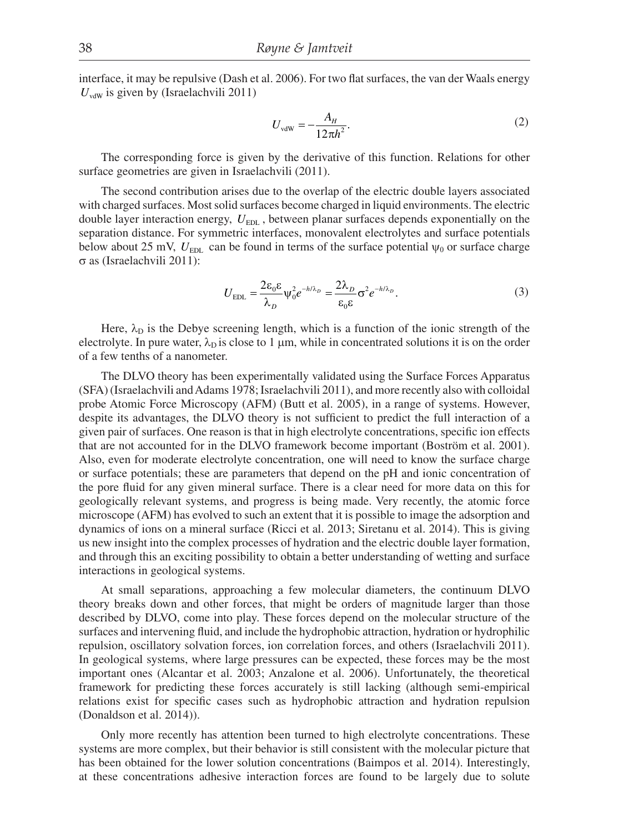interface, it may be repulsive (Dash et al. 2006). For two flat surfaces, the van der Waals energy  $U_{\text{vdw}}$  is given by (Israelachvili 2011)

$$
U_{\text{vdW}} = -\frac{A_H}{12\pi h^2}.\tag{2}
$$

The corresponding force is given by the derivative of this function. Relations for other surface geometries are given in Israelachvili (2011).

The second contribution arises due to the overlap of the electric double layers associated with charged surfaces. Most solid surfaces become charged in liquid environments. The electric double layer interaction energy,  $U_{\text{EDL}}$ , between planar surfaces depends exponentially on the separation distance. For symmetric interfaces, monovalent electrolytes and surface potentials below about 25 mV,  $U_{\text{EDL}}$  can be found in terms of the surface potential  $\psi_0$  or surface charge  $\sigma$  as (Israelachvili 2011):

$$
U_{\rm EDL} = \frac{2\varepsilon_0 \varepsilon}{\lambda_D} \psi_0^2 e^{-h/\lambda_D} = \frac{2\lambda_D}{\varepsilon_0 \varepsilon} \sigma^2 e^{-h/\lambda_D}.
$$
 (3)

Here,  $\lambda_D$  is the Debye screening length, which is a function of the ionic strength of the electrolyte. In pure water,  $\lambda_{\rm p}$  is close to 1 µm, while in concentrated solutions it is on the order of a few tenths of a nanometer.

The DLVO theory has been experimentally validated using the Surface Forces Apparatus (SFA) (Israelachvili and Adams 1978; Israelachvili 2011 ), and more recently also with colloidal probe Atomic Force Microscopy (AFM) (Butt et al. 2005), in a range of systems. However, despite its advantages, the DLVO theory is not sufficient to predict the full interaction of a given pair of surfaces. One reason is that in high electrolyte concentrations, specific ion effects that are not accounted for in the DLVO framework become important (Boström et al. 2001). Also, even for moderate electrolyte concentration, one will need to know the surface charge or surface potentials; these are parameters that depend on the pH and ionic concentration of the pore fluid for any given mineral surface. There is a clear need for more data on this for geologically relevant systems, and progress is being made. Very recently, the atomic force microscope (AFM) has evolved to such an extent that it is possible to image the adsorption and dynamics of ions on a mineral surface (Ricci et al. 2013; Siretanu et al. 2014). This is giving us new insight into the complex processes of hydration and the electric double layer formation, and through this an exciting possibility to obtain a better understanding of wetting and surface interactions in geological systems.

At small separations, approaching a few molecular diameters, the continuum DLVO theory breaks down and other forces, that might be orders of magnitude larger than those described by DLVO, come into play. These forces depend on the molecular structure of the surfaces and intervening fluid, and include the hydrophobic attraction, hydration or hydrophilic repulsion, oscillatory solvation forces, ion correlation forces, and others (Israelachvili 2011). In geological systems, where large pressures can be expected, these forces may be the most important ones (Alcantar et al. 2003; Anzalone et al. 2006). Unfortunately, the theoretical framework for predicting these forces accurately is still lacking (although semi-empirical relations exist for specific cases such as hydrophobic attraction and hydration repulsion (Donaldson et al. 2014)).

Only more recently has attention been turned to high electrolyte concentrations. These systems are more complex, but their behavior is still consistent with the molecular picture that has been obtained for the lower solution concentrations (Baimpos et al. 2014). Interestingly, at these concentrations adhesive interaction forces are found to be largely due to solute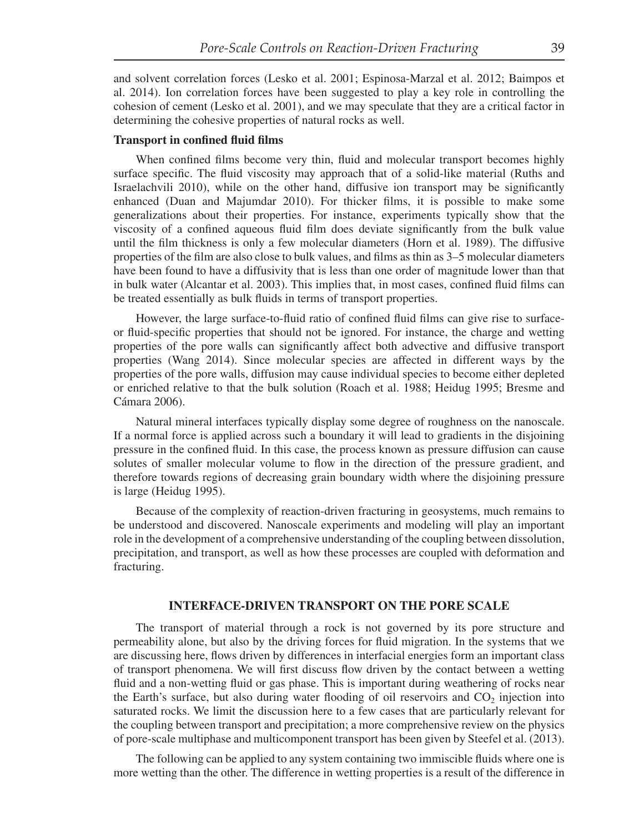and solvent correlation forces (Lesko et al. 2001; Espinosa-Marzal et al. 2012; Baimpos et al. 2014). Ion correlation forces have been suggested to play a key role in controlling the cohesion of cement (Lesko et al. 2001), and we may speculate that they are a critical factor in determining the cohesive properties of natural rocks as well.

## **Transport in confined fluid films**

When confined films become very thin, fluid and molecular transport becomes highly surface specific. The fluid viscosity may approach that of a solid-like material (Ruths and Israelachvili 2010), while on the other hand, diffusive ion transport may be significantly enhanced (Duan and Majumdar 2010). For thicker films, it is possible to make some generalizations about their properties. For instance, experiments typically show that the viscosity of a confined aqueous fluid film does deviate significantly from the bulk value until the film thickness is only a few molecular diameters (Horn et al. 1989). The diffusive properties of the film are also close to bulk values, and films as thin as  $3-5$  molecular diameters have been found to have a diffusivity that is less than one order of magnitude lower than that in bulk water (Alcantar et al. 2003). This implies that, in most cases, confined fluid films can be treated essentially as bulk fluids in terms of transport properties.

However, the large surface-to-fluid ratio of confined fluid films can give rise to surfaceor fluid-specific properties that should not be ignored. For instance, the charge and wetting properties of the pore walls can significantly affect both advective and diffusive transport properties (Wang 2014). Since molecular species are affected in different ways by the properties of the pore walls, diffusion may cause individual species to become either depleted or enriched relative to that the bulk solution (Roach et al. 1988; Heidug 1995; Bresme and Cámara 2006).

Natural mineral interfaces typically display some degree of roughness on the nanoscale. If a normal force is applied across such a boundary it will lead to gradients in the disjoining pressure in the confined fluid. In this case, the process known as pressure diffusion can cause solutes of smaller molecular volume to flow in the direction of the pressure gradient, and therefore towards regions of decreasing grain boundary width where the disjoining pressure is large (Heidug 1995).

Because of the complexity of reaction-driven fracturing in geosystems, much remains to be understood and discovered. Nanoscale experiments and modeling will play an important role in the development of a comprehensive understanding of the coupling between dissolution, precipitation, and transport, as well as how these processes are coupled with deformation and fracturing.

#### **INTERFACE-DRIVEN TRANSPORT ON THE PORE SCALE**

The transport of material through a rock is not governed by its pore structure and permeability alone, but also by the driving forces for fluid migration. In the systems that we are discussing here, flows driven by differences in interfacial energies form an important class of transport phenomena. We will first discuss flow driven by the contact between a wetting fluid and a non-wetting fluid or gas phase. This is important during weathering of rocks near the Earth's surface, but also during water flooding of oil reservoirs and  $CO<sub>2</sub>$  injection into saturated rocks. We limit the discussion here to a few cases that are particularly relevant for the coupling between transport and precipitation; a more comprehensive review on the physics of pore-scale multiphase and multicomponent transport has been given by Steefel et al. (2013).

The following can be applied to any system containing two immiscible fluids where one is more wetting than the other. The difference in wetting properties is a result of the difference in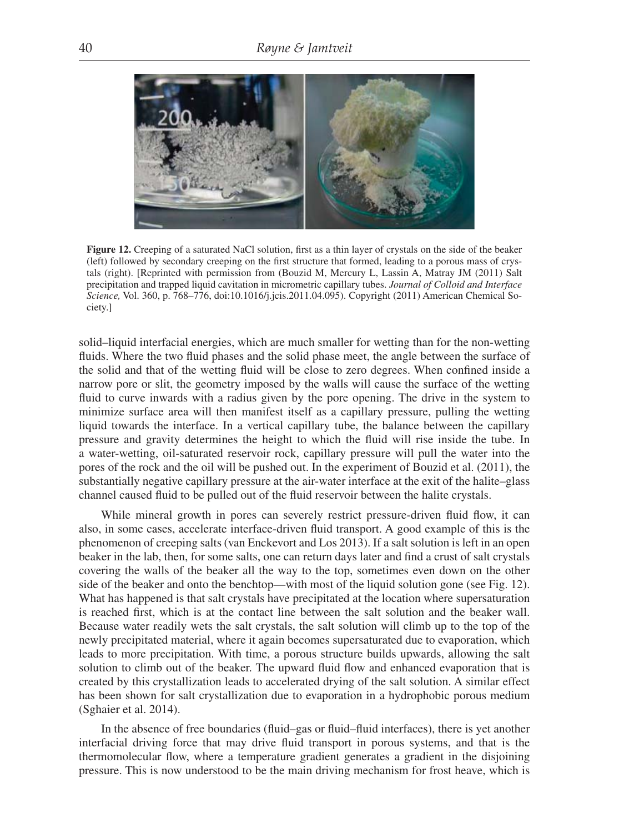

**Figure 12.** Creeping of a saturated NaCl solution, first as a thin layer of crystals on the side of the beaker (left) followed by secondary creeping on the first structure that formed, leading to a porous mass of crystals (right). [Reprinted with permission from (Bouzid M, Mercury L, Lassin A, Matray JM (2011) Salt precipitation and trapped liquid cavitation in micrometric capillary tubes. *Journal of Colloid and Interface Science,* Vol. 360, p. 768–776, doi:10.1016/j.jcis.2011.04.095). Copyright (2011) American Chemical Society.]

solid–liquid interfacial energies, which are much smaller for wetting than for the non-wetting fluids. Where the two fluid phases and the solid phase meet, the angle between the surface of the solid and that of the wetting fluid will be close to zero degrees. When confined inside a narrow pore or slit, the geometry imposed by the walls will cause the surface of the wetting fluid to curve inwards with a radius given by the pore opening. The drive in the system to minimize surface area will then manifest itself as a capillary pressure, pulling the wetting liquid towards the interface. In a vertical capillary tube, the balance between the capillary pressure and gravity determines the height to which the fluid will rise inside the tube. In a water-wetting, oil-saturated reservoir rock, capillary pressure will pull the water into the pores of the rock and the oil will be pushed out. In the experiment of Bouzid et al. (2011), the substantially negative capillary pressure at the air-water interface at the exit of the halite–glass channel caused fluid to be pulled out of the fluid reservoir between the halite crystals.

While mineral growth in pores can severely restrict pressure-driven fluid flow, it can also, in some cases, accelerate interface-driven fluid transport. A good example of this is the phenomenon of creeping salts (van Enckevort and Los 2013). If a salt solution is left in an open beaker in the lab, then, for some salts, one can return days later and find a crust of salt crystals covering the walls of the beaker all the way to the top, sometimes even down on the other side of the beaker and onto the benchtop—with most of the liquid solution gone (see Fig. 12). What has happened is that salt crystals have precipitated at the location where supersaturation is reached first, which is at the contact line between the salt solution and the beaker wall. Because water readily wets the salt crystals, the salt solution will climb up to the top of the newly precipitated material, where it again becomes supersaturated due to evaporation, which leads to more precipitation. With time, a porous structure builds upwards, allowing the salt solution to climb out of the beaker. The upward fluid flow and enhanced evaporation that is created by this crystallization leads to accelerated drying of the salt solution. A similar effect has been shown for salt crystallization due to evaporation in a hydrophobic porous medium (Sghaier et al. 2014).

In the absence of free boundaries (fluid–gas or fluid–fluid interfaces), there is yet another interfacial driving force that may drive fluid transport in porous systems, and that is the thermomolecular flow, where a temperature gradient generates a gradient in the disjoining pressure. This is now understood to be the main driving mechanism for frost heave, which is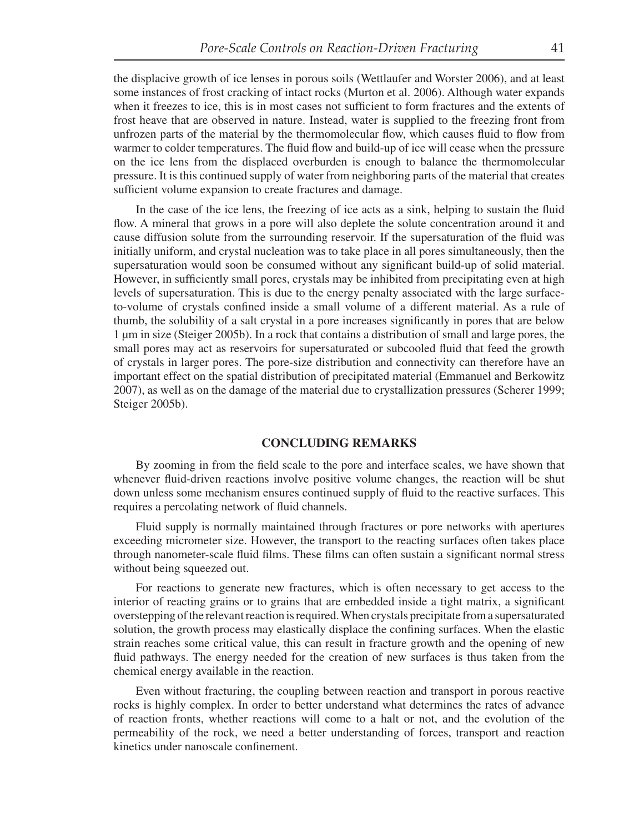the displacive growth of ice lenses in porous soils (Wettlaufer and Worster 2006), and at least some instances of frost cracking of intact rocks (Murton et al. 2006). Although water expands when it freezes to ice, this is in most cases not sufficient to form fractures and the extents of frost heave that are observed in nature. Instead, water is supplied to the freezing front from unfrozen parts of the material by the thermomolecular flow, which causes fluid to flow from warmer to colder temperatures. The fluid flow and build-up of ice will cease when the pressure on the ice lens from the displaced overburden is enough to balance the thermomolecular pressure. It is this continued supply of water from neighboring parts of the material that creates sufficient volume expansion to create fractures and damage.

In the case of the ice lens, the freezing of ice acts as a sink, helping to sustain the fluid flow. A mineral that grows in a pore will also deplete the solute concentration around it and cause diffusion solute from the surrounding reservoir. If the supersaturation of the fluid was initially uniform, and crystal nucleation was to take place in all pores simultaneously, then the supersaturation would soon be consumed without any significant build-up of solid material. However, in sufficiently small pores, crystals may be inhibited from precipitating even at high levels of supersaturation. This is due to the energy penalty associated with the large surfaceto-volume of crystals confined inside a small volume of a different material. As a rule of thumb, the solubility of a salt crystal in a pore increases significantly in pores that are below 1 μm in size (Steiger 2005b). In a rock that contains a distribution of small and large pores, the small pores may act as reservoirs for supersaturated or subcooled fluid that feed the growth of crystals in larger pores. The pore-size distribution and connectivity can therefore have an important effect on the spatial distribution of precipitated material (Emmanuel and Berkowitz 2007), as well as on the damage of the material due to crystallization pressures (Scherer 1999; Steiger 2005b).

#### **CONCLUDING REMARKS**

By zooming in from the field scale to the pore and interface scales, we have shown that whenever fluid-driven reactions involve positive volume changes, the reaction will be shut down unless some mechanism ensures continued supply of fluid to the reactive surfaces. This requires a percolating network of fluid channels.

Fluid supply is normally maintained through fractures or pore networks with apertures exceeding micrometer size. However, the transport to the reacting surfaces often takes place through nanometer-scale fluid films. These films can often sustain a significant normal stress without being squeezed out.

For reactions to generate new fractures, which is often necessary to get access to the interior of reacting grains or to grains that are embedded inside a tight matrix, a significant overstepping of the relevant reaction is required. When crystals precipitate from a supersaturated solution, the growth process may elastically displace the confining surfaces. When the elastic strain reaches some critical value, this can result in fracture growth and the opening of new fluid pathways. The energy needed for the creation of new surfaces is thus taken from the chemical energy available in the reaction.

Even without fracturing, the coupling between reaction and transport in porous reactive rocks is highly complex. In order to better understand what determines the rates of advance of reaction fronts, whether reactions will come to a halt or not, and the evolution of the permeability of the rock, we need a better understanding of forces, transport and reaction kinetics under nanoscale confinement.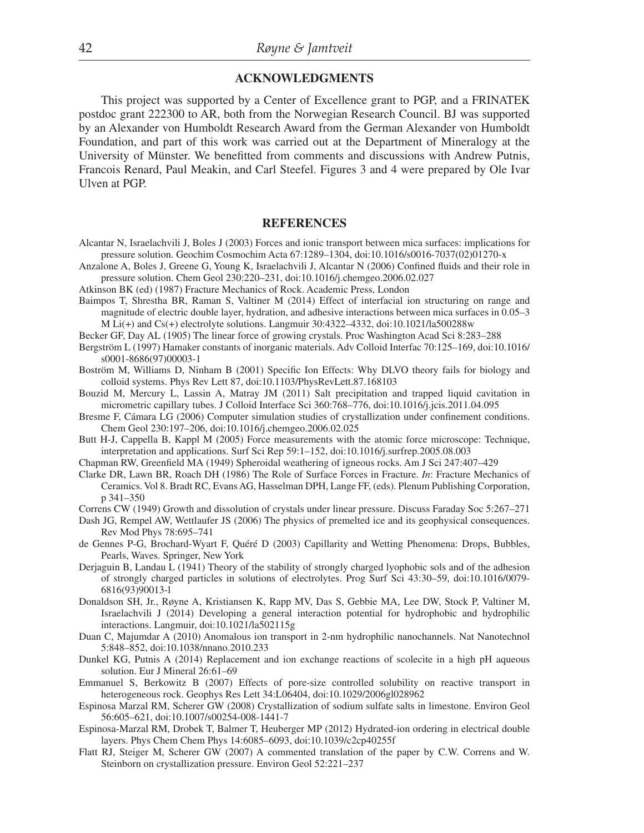## **ACKNOWLEDGMENTS**

This project was supported by a Center of Excellence grant to PGP, and a FRINATEK postdoc grant 222300 to AR, both from the Norwegian Research Council. BJ was supported by an Alexander von Humboldt Research Award from the German Alexander von Humboldt Foundation, and part of this work was carried out at the Department of Mineralogy at the University of Münster. We benefitted from comments and discussions with Andrew Putnis, Francois Renard, Paul Meakin, and Carl Steefel. Figures 3 and 4 were prepared by Ole Ivar Ulven at PGP.

#### **REFERENCES**

- Alcantar N, Israelachvili J, Boles J (2003) Forces and ionic transport between mica surfaces: implications for pressure solution. Geochim Cosmochim Acta 67:1289–1304, doi:10.1016/s0016-7037(02)01270-x
- Anzalone A, Boles J, Greene G, Young K, Israelachvili J, Alcantar N (2006) Confined fluids and their role in pressure solution. Chem Geol 230:220–231, doi:10.1016/j.chemgeo.2006.02.027
- Atkinson BK (ed) (1987) Fracture Mechanics of Rock. Academic Press, London
- Baimpos T, Shrestha BR, Raman S, Valtiner M (2014) Effect of interfacial ion structuring on range and magnitude of electric double layer, hydration, and adhesive interactions between mica surfaces in 0.05–3 M Li(+) and Cs(+) electrolyte solutions. Langmuir  $30:4322-4332$ , doi:10.1021/la500288w
- Becker GF, Day AL (1905) The linear force of growing crystals. Proc Washington Acad Sci 8:283–288
- Bergström L (1997) Hamaker constants of inorganic materials. Adv Colloid Interfac 70:125–169, doi:10.1016/ s0001-8686(97)00003-1
- Boström M, Williams D, Ninham B (2001) Specific Ion Effects: Why DLVO theory fails for biology and colloid systems. Phys Rev Lett 87, doi:10.1103/PhysRevLett.87.168103
- Bouzid M, Mercury L, Lassin A, Matray JM (2011) Salt precipitation and trapped liquid cavitation in micrometric capillary tubes. J Colloid Interface Sci 360:768–776, doi:10.1016/j.jcis.2011.04.095
- Bresme F, Cámara LG (2006) Computer simulation studies of crystallization under confinement conditions. Chem Geol 230:197–206, doi:10.1016/j.chemgeo.2006.02.025
- Butt H-J, Cappella B, Kappl M (2005) Force measurements with the atomic force microscope: Technique, interpretation and applications. Surf Sci Rep 59:1–152, doi:10.1016/j.surfrep.2005.08.003
- Chapman RW, Greenfield MA (1949) Spheroidal weathering of igneous rocks. Am J Sci 247:407-429
- Clarke DR, Lawn BR, Roach DH (1986) The Role of Surface Forces in Fracture. *In*: Fracture Mechanics of Ceramics. Vol 8. Bradt RC, Evans AG, Hasselman DPH, Lange FF, (eds). Plenum Publishing Corporation, p 341–350
- Correns CW (1949) Growth and dissolution of crystals under linear pressure. Discuss Faraday Soc 5:267–271
- Dash JG, Rempel AW, Wettlaufer JS (2006) The physics of premelted ice and its geophysical consequences. Rev Mod Phys 78:695–741
- de Gennes P-G, Brochard-Wyart F, Quéré D (2003) Capillarity and Wetting Phenomena: Drops, Bubbles, Pearls, Waves. Springer, New York
- Derjaguin B, Landau L (1941) Theory of the stability of strongly charged lyophobic sols and of the adhesion of strongly charged particles in solutions of electrolytes. Prog Surf Sci 43:30–59, doi:10.1016/0079- 6816(93)90013-l
- Donaldson SH, Jr., Røyne A, Kristiansen K, Rapp MV, Das S, Gebbie MA, Lee DW, Stock P, Valtiner M, Israelachvili J (2014) Developing a general interaction potential for hydrophobic and hydrophilic interactions. Langmuir, doi:10.1021/la502115g
- Duan C, Majumdar A (2010) Anomalous ion transport in 2-nm hydrophilic nanochannels. Nat Nanotechnol 5:848–852, doi:10.1038/nnano.2010.233
- Dunkel KG, Putnis A (2014) Replacement and ion exchange reactions of scolecite in a high pH aqueous solution. Eur J Mineral 26:61–69
- Emmanuel S, Berkowitz B (2007) Effects of pore-size controlled solubility on reactive transport in heterogeneous rock. Geophys Res Lett 34:L06404, doi:10.1029/2006gl028962
- Espinosa Marzal RM, Scherer GW (2008) Crystallization of sodium sulfate salts in limestone. Environ Geol 56:605–621, doi:10.1007/s00254-008-1441-7
- Espinosa-Marzal RM, Drobek T, Balmer T, Heuberger MP (2012) Hydrated-ion ordering in electrical double layers. Phys Chem Chem Phys 14:6085–6093, doi:10.1039/c2cp40255f
- Flatt RJ, Steiger M, Scherer GW (2007) A commented translation of the paper by C.W. Correns and W. Steinborn on crystallization pressure. Environ Geol 52:221–237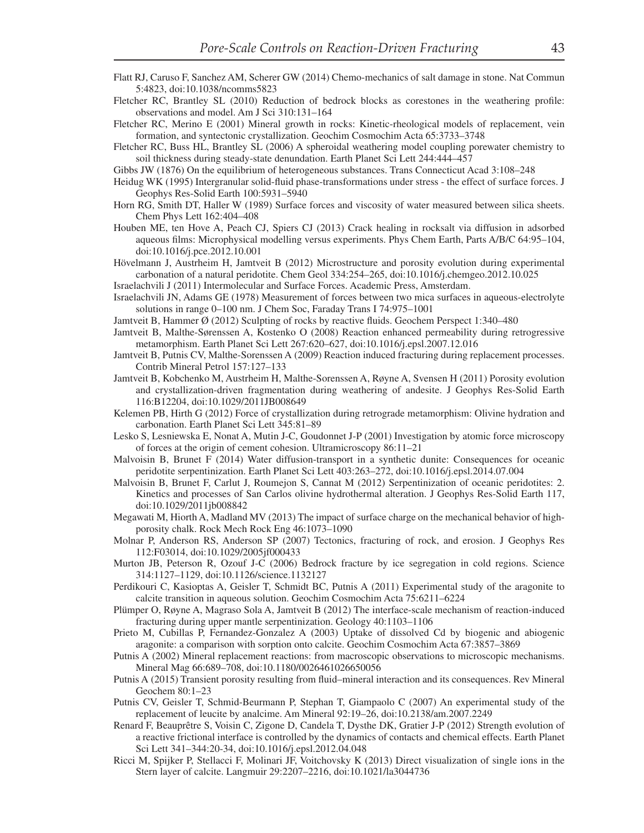- Flatt RJ, Caruso F, Sanchez AM, Scherer GW (2014) Chemo-mechanics of salt damage in stone. Nat Commun 5:4823, doi:10.1038/ncomms5823
- Fletcher RC, Brantley SL (2010) Reduction of bedrock blocks as corestones in the weathering profile: observations and model. Am J Sci 310:131–164
- Fletcher RC, Merino E (2001) Mineral growth in rocks: Kinetic-rheological models of replacement, vein formation, and syntectonic crystallization. Geochim Cosmochim Acta 65:3733–3748
- Fletcher RC, Buss HL, Brantley SL (2006) A spheroidal weathering model coupling porewater chemistry to soil thickness during steady-state denundation. Earth Planet Sci Lett 244:444–457
- Gibbs JW (1876) On the equilibrium of heterogeneous substances. Trans Connecticut Acad 3:108–248
- Heidug WK (1995) Intergranular solid-fluid phase-transformations under stress the effect of surface forces. J Geophys Res-Solid Earth 100:5931–5940
- Horn RG, Smith DT, Haller W (1989) Surface forces and viscosity of water measured between silica sheets. Chem Phys Lett 162:404–408
- Houben ME, ten Hove A, Peach CJ, Spiers CJ (2013) Crack healing in rocksalt via diffusion in adsorbed aqueous films: Microphysical modelling versus experiments. Phys Chem Earth, Parts A/B/C 64:95–104, doi:10.1016/j.pce.2012.10.001
- Hövelmann J, Austrheim H, Jamtveit B (2012) Microstructure and porosity evolution during experimental carbonation of a natural peridotite. Chem Geol 334:254–265, doi:10.1016/j.chemgeo.2012.10.025
- Israelachvili J (2011) Intermolecular and Surface Forces. Academic Press, Amsterdam.
- Israelachvili JN, Adams GE (1978) Measurement of forces between two mica surfaces in aqueous-electrolyte solutions in range 0–100 nm. J Chem Soc, Faraday Trans I 74:975–1001
- Jamtveit B, Hammer  $\varnothing$  (2012) Sculpting of rocks by reactive fluids. Geochem Perspect 1:340–480
- Jamtveit B, Malthe-Sørenssen A, Kostenko O (2008) Reaction enhanced permeability during retrogressive metamorphism. Earth Planet Sci Lett 267:620–627, doi:10.1016/j.epsl.2007.12.016
- Jamtveit B, Putnis CV, Malthe-Sorenssen A (2009) Reaction induced fracturing during replacement processes. Contrib Mineral Petrol 157:127–133
- Jamtveit B, Kobchenko M, Austrheim H, Malthe-Sorenssen A, Røyne A, Svensen H (2011) Porosity evolution and crystallization-driven fragmentation during weathering of andesite. J Geophys Res-Solid Earth 116:B12204, doi:10.1029/2011JB008649
- Kelemen PB, Hirth G (2012) Force of crystallization during retrograde metamorphism: Olivine hydration and carbonation. Earth Planet Sci Lett 345:81–89
- Lesko S, Lesniewska E, Nonat A, Mutin J-C, Goudonnet J-P (2001) Investigation by atomic force microscopy of forces at the origin of cement cohesion. Ultramicroscopy 86:11–21
- Malvoisin B, Brunet F (2014) Water diffusion-transport in a synthetic dunite: Consequences for oceanic peridotite serpentinization. Earth Planet Sci Lett 403:263–272, doi:10.1016/j.epsl.2014.07.004
- Malvoisin B, Brunet F, Carlut J, Roumejon S, Cannat M (2012) Serpentinization of oceanic peridotites: 2. Kinetics and processes of San Carlos olivine hydrothermal alteration. J Geophys Res-Solid Earth 117, doi:10.1029/2011jb008842
- Megawati M, Hiorth A, Madland MV (2013) The impact of surface charge on the mechanical behavior of highporosity chalk. Rock Mech Rock Eng 46:1073–1090
- Molnar P, Anderson RS, Anderson SP (2007) Tectonics, fracturing of rock, and erosion. J Geophys Res 112:F03014, doi:10.1029/2005jf000433
- Murton JB, Peterson R, Ozouf J-C (2006) Bedrock fracture by ice segregation in cold regions. Science 314:1127–1129, doi:10.1126/science.1132127
- Perdikouri C, Kasioptas A, Geisler T, Schmidt BC, Putnis A (2011) Experimental study of the aragonite to calcite transition in aqueous solution. Geochim Cosmochim Acta 75:6211–6224
- Plümper O, Røyne A, Magraso Sola A, Jamtveit B (2012) The interface-scale mechanism of reaction-induced fracturing during upper mantle serpentinization. Geology 40:1103–1106
- Prieto M, Cubillas P, Fernandez-Gonzalez A (2003) Uptake of dissolved Cd by biogenic and abiogenic aragonite: a comparison with sorption onto calcite. Geochim Cosmochim Acta 67:3857–3869
- Putnis A (2002) Mineral replacement reactions: from macroscopic observations to microscopic mechanisms. Mineral Mag 66:689–708, doi:10.1180/0026461026650056
- Putnis A (2015) Transient porosity resulting from fluid–mineral interaction and its consequences. Rev Mineral Geochem 80:1–23
- Putnis CV, Geisler T, Schmid-Beurmann P, Stephan T, Giampaolo C (2007) An experimental study of the replacement of leucite by analcime. Am Mineral 92:19–26, doi:10.2138/am.2007.2249
- Renard F, Beauprêtre S, Voisin C, Zigone D, Candela T, Dysthe DK, Gratier J-P (2012) Strength evolution of a reactive frictional interface is controlled by the dynamics of contacts and chemical effects. Earth Planet Sci Lett 341–344:20-34, doi:10.1016/j.epsl.2012.04.048
- Ricci M, Spijker P, Stellacci F, Molinari JF, Voitchovsky K (2013) Direct visualization of single ions in the Stern layer of calcite. Langmuir 29:2207–2216, doi:10.1021/la3044736